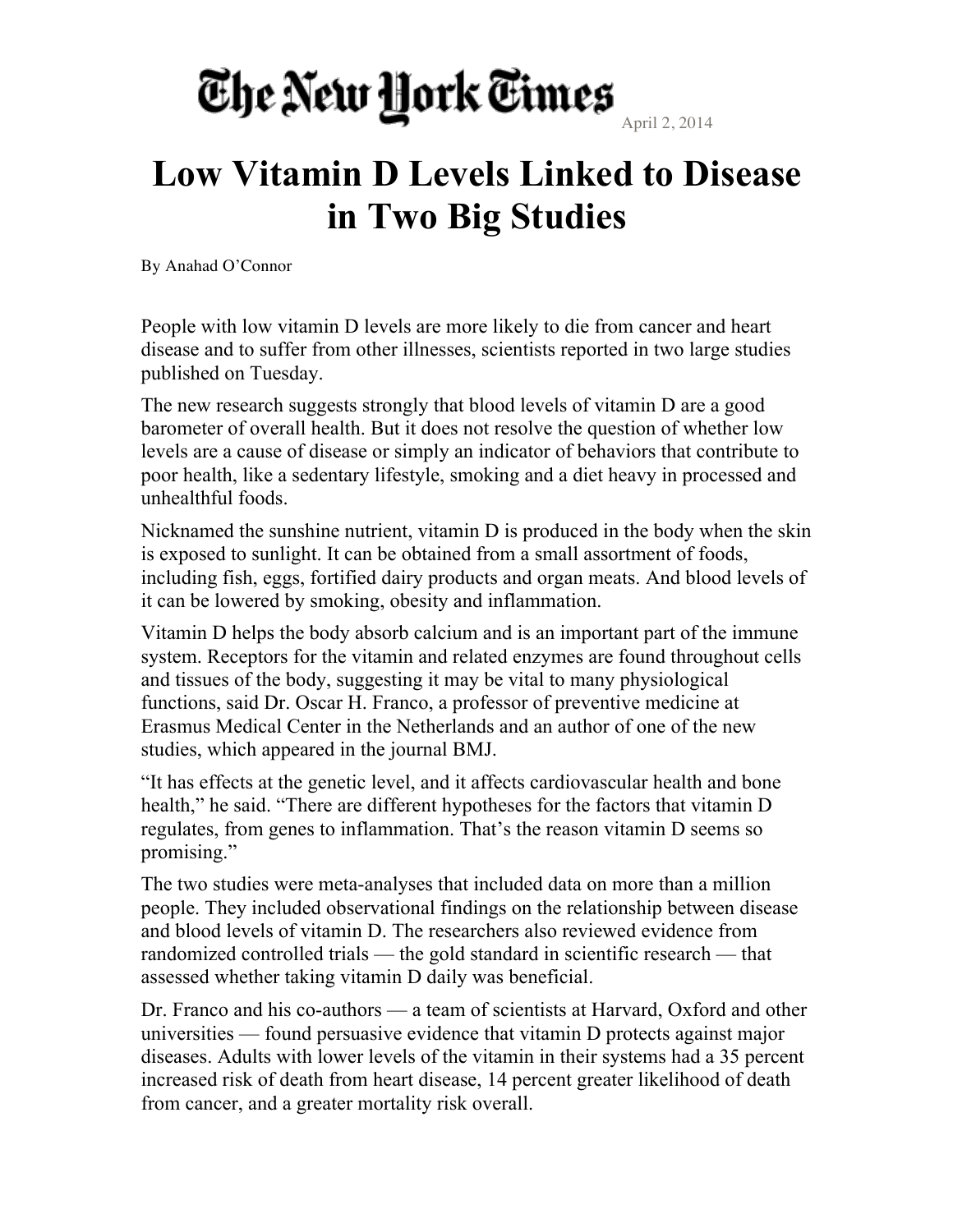## The New York Times

April 2, 2014

## **Low Vitamin D Levels Linked to Disease in Two Big Studies**

By Anahad O'Connor

People with low vitamin D levels are more likely to die from cancer and heart disease and to suffer from other illnesses, scientists reported in two large studies published on Tuesday.

The new research suggests strongly that blood levels of vitamin D are a good barometer of overall health. But it does not resolve the question of whether low levels are a cause of disease or simply an indicator of behaviors that contribute to poor health, like a sedentary lifestyle, smoking and a diet heavy in processed and unhealthful foods.

Nicknamed the sunshine nutrient, vitamin D is produced in the body when the skin is exposed to sunlight. It can be obtained from a small assortment of foods, including fish, eggs, fortified dairy products and organ meats. And blood levels of it can be lowered by smoking, obesity and inflammation.

Vitamin D helps the body absorb calcium and is an important part of the immune system. Receptors for the vitamin and related enzymes are found throughout cells and tissues of the body, suggesting it may be vital to many physiological functions, said Dr. Oscar H. Franco, a professor of preventive medicine at Erasmus Medical Center in the Netherlands and an author of one of the new studies, which appeared in the journal BMJ.

"It has effects at the genetic level, and it affects cardiovascular health and bone health," he said. "There are different hypotheses for the factors that vitamin D regulates, from genes to inflammation. That's the reason vitamin D seems so promising."

The two studies were meta-analyses that included data on more than a million people. They included observational findings on the relationship between disease and blood levels of vitamin D. The researchers also reviewed evidence from randomized controlled trials — the gold standard in scientific research — that assessed whether taking vitamin D daily was beneficial.

Dr. Franco and his co-authors — a team of scientists at Harvard, Oxford and other universities — found persuasive evidence that vitamin D protects against major diseases. Adults with lower levels of the vitamin in their systems had a 35 percent increased risk of death from heart disease, 14 percent greater likelihood of death from cancer, and a greater mortality risk overall.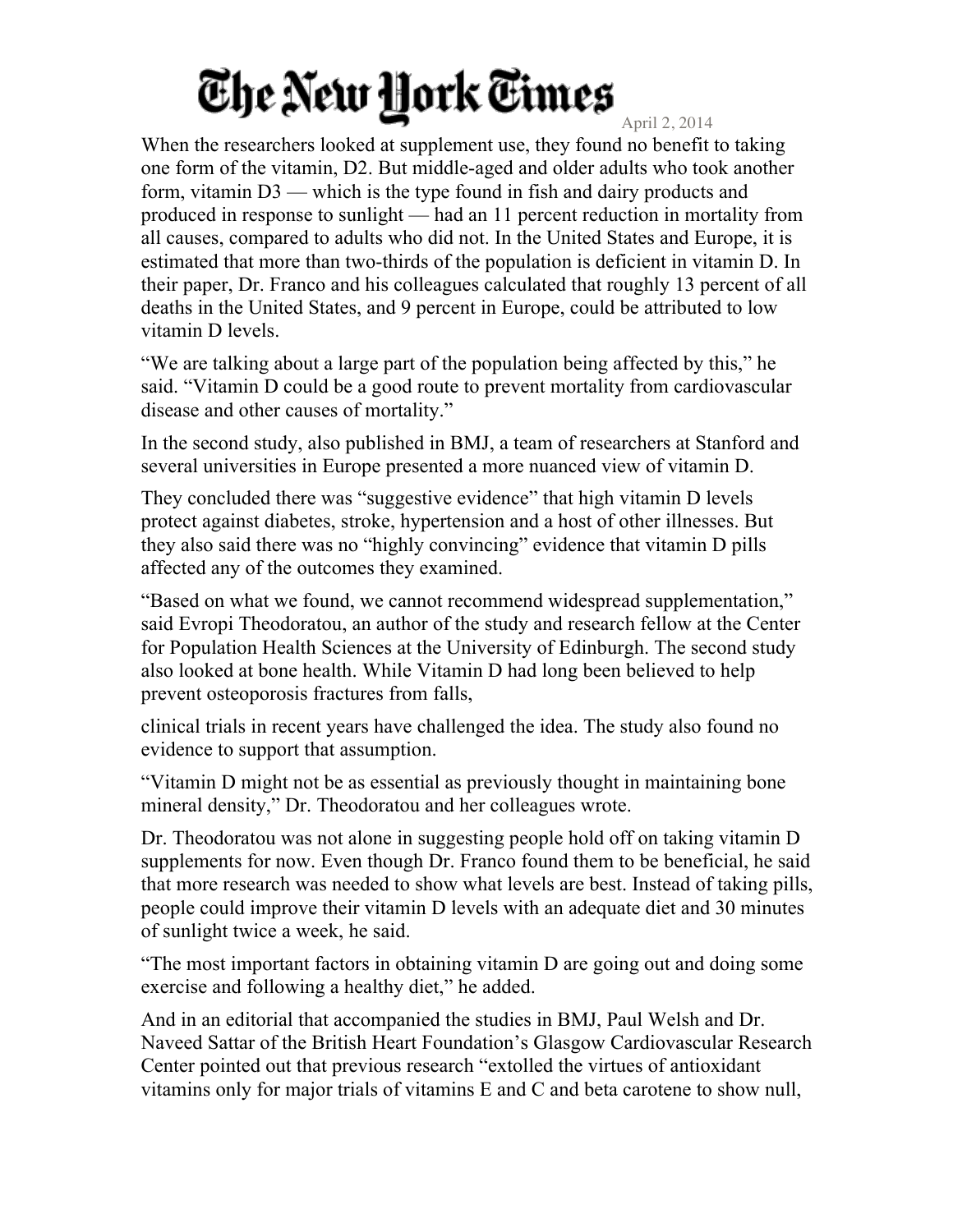## The New Hork Times

April 2, 2014

When the researchers looked at supplement use, they found no benefit to taking one form of the vitamin, D2. But middle-aged and older adults who took another form, vitamin D3 — which is the type found in fish and dairy products and produced in response to sunlight — had an 11 percent reduction in mortality from all causes, compared to adults who did not. In the United States and Europe, it is estimated that more than two-thirds of the population is deficient in vitamin D. In their paper, Dr. Franco and his colleagues calculated that roughly 13 percent of all deaths in the United States, and 9 percent in Europe, could be attributed to low vitamin D levels.

"We are talking about a large part of the population being affected by this," he said. "Vitamin D could be a good route to prevent mortality from cardiovascular disease and other causes of mortality."

In the second study, also published in BMJ, a team of researchers at Stanford and several universities in Europe presented a more nuanced view of vitamin D.

They concluded there was "suggestive evidence" that high vitamin D levels protect against diabetes, stroke, hypertension and a host of other illnesses. But they also said there was no "highly convincing" evidence that vitamin D pills affected any of the outcomes they examined.

"Based on what we found, we cannot recommend widespread supplementation," said Evropi Theodoratou, an author of the study and research fellow at the Center for Population Health Sciences at the University of Edinburgh. The second study also looked at bone health. While Vitamin D had long been believed to help prevent osteoporosis fractures from falls,

clinical trials in recent years have challenged the idea. The study also found no evidence to support that assumption.

"Vitamin D might not be as essential as previously thought in maintaining bone mineral density," Dr. Theodoratou and her colleagues wrote.

Dr. Theodoratou was not alone in suggesting people hold off on taking vitamin D supplements for now. Even though Dr. Franco found them to be beneficial, he said that more research was needed to show what levels are best. Instead of taking pills, people could improve their vitamin D levels with an adequate diet and 30 minutes of sunlight twice a week, he said.

"The most important factors in obtaining vitamin D are going out and doing some exercise and following a healthy diet," he added.

And in an editorial that accompanied the studies in BMJ, Paul Welsh and Dr. Naveed Sattar of the British Heart Foundation's Glasgow Cardiovascular Research Center pointed out that previous research "extolled the virtues of antioxidant vitamins only for major trials of vitamins E and C and beta carotene to show null,